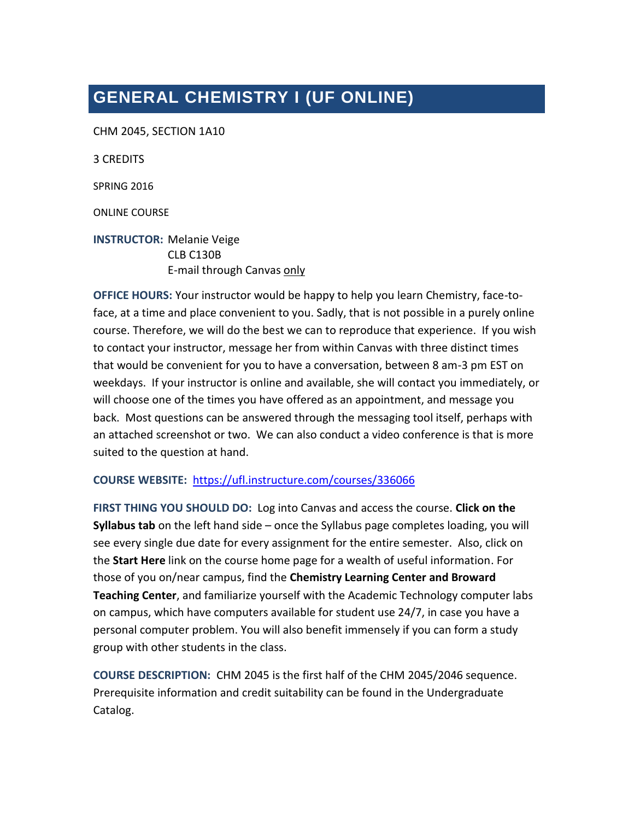# **GENERAL CHEMISTRY I (UF ONLINE)**

CHM 2045, SECTION 1A10

3 CREDITS

SPRING 2016

ONLINE COURSE

**INSTRUCTOR:** Melanie Veige CLB C130B E-mail through Canvas only

**OFFICE HOURS:** Your instructor would be happy to help you learn Chemistry, face-toface, at a time and place convenient to you. Sadly, that is not possible in a purely online course. Therefore, we will do the best we can to reproduce that experience. If you wish to contact your instructor, message her from within Canvas with three distinct times that would be convenient for you to have a conversation, between 8 am-3 pm EST on weekdays. If your instructor is online and available, she will contact you immediately, or will choose one of the times you have offered as an appointment, and message you back. Most questions can be answered through the messaging tool itself, perhaps with an attached screenshot or two. We can also conduct a video conference is that is more suited to the question at hand.

### **COURSE WEBSITE:** <https://ufl.instructure.com/courses/336066>

**FIRST THING YOU SHOULD DO:** Log into Canvas and access the course. **Click on the Syllabus tab** on the left hand side – once the Syllabus page completes loading, you will see every single due date for every assignment for the entire semester. Also, click on the **Start Here** link on the course home page for a wealth of useful information. For those of you on/near campus, find the **Chemistry Learning Center and Broward Teaching Center**, and familiarize yourself with the Academic Technology computer labs on campus, which have computers available for student use 24/7, in case you have a personal computer problem. You will also benefit immensely if you can form a study group with other students in the class.

**COURSE DESCRIPTION:** CHM 2045 is the first half of the CHM 2045/2046 sequence. Prerequisite information and credit suitability can be found in the Undergraduate Catalog.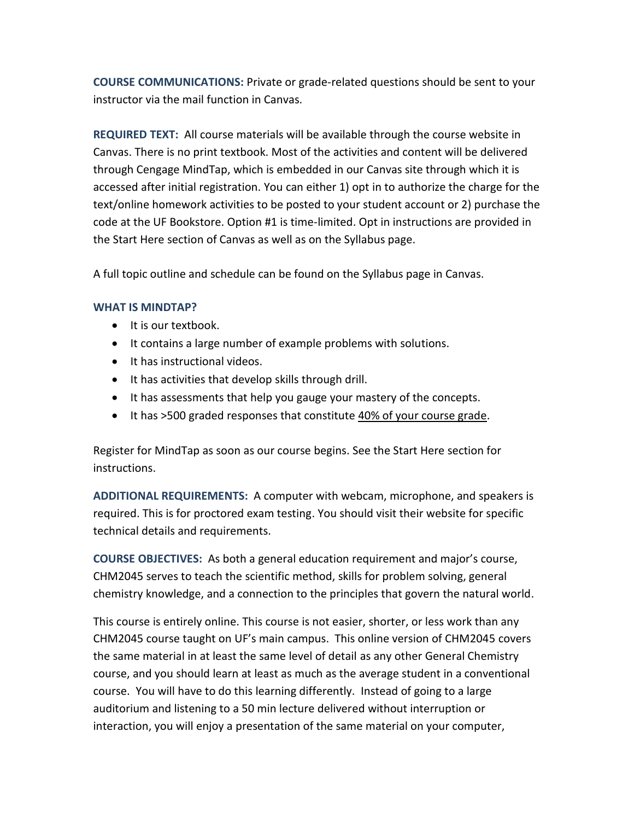**COURSE COMMUNICATIONS:** Private or grade-related questions should be sent to your instructor via the mail function in Canvas*.* 

**REQUIRED TEXT:** All course materials will be available through the course website in Canvas. There is no print textbook. Most of the activities and content will be delivered through Cengage MindTap, which is embedded in our Canvas site through which it is accessed after initial registration. You can either 1) opt in to authorize the charge for the text/online homework activities to be posted to your student account or 2) purchase the code at the UF Bookstore. Option #1 is time-limited. Opt in instructions are provided in the Start Here section of Canvas as well as on the Syllabus page.

A full topic outline and schedule can be found on the Syllabus page in Canvas.

### **WHAT IS MINDTAP?**

- It is our textbook.
- It contains a large number of example problems with solutions.
- It has instructional videos.
- It has activities that develop skills through drill.
- It has assessments that help you gauge your mastery of the concepts.
- It has >500 graded responses that constitute 40% of your course grade.

Register for MindTap as soon as our course begins. See the Start Here section for instructions.

**ADDITIONAL REQUIREMENTS:** A computer with webcam, microphone, and speakers is required. This is for proctored exam testing. You should visit their website for specific technical details and requirements.

**COURSE OBJECTIVES:** As both a general education requirement and major's course, CHM2045 serves to teach the scientific method, skills for problem solving, general chemistry knowledge, and a connection to the principles that govern the natural world.

This course is entirely online. This course is not easier, shorter, or less work than any CHM2045 course taught on UF's main campus. This online version of CHM2045 covers the same material in at least the same level of detail as any other General Chemistry course, and you should learn at least as much as the average student in a conventional course. You will have to do this learning differently. Instead of going to a large auditorium and listening to a 50 min lecture delivered without interruption or interaction, you will enjoy a presentation of the same material on your computer,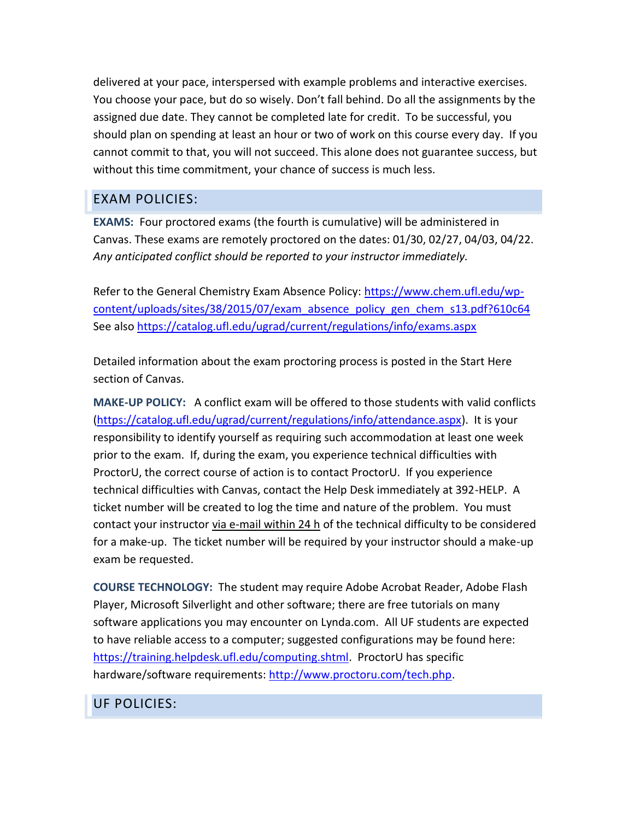delivered at your pace, interspersed with example problems and interactive exercises. You choose your pace, but do so wisely. Don't fall behind. Do all the assignments by the assigned due date. They cannot be completed late for credit. To be successful, you should plan on spending at least an hour or two of work on this course every day. If you cannot commit to that, you will not succeed. This alone does not guarantee success, but without this time commitment, your chance of success is much less.

# EXAM POLICIES:

**EXAMS:** Four proctored exams (the fourth is cumulative) will be administered in Canvas. These exams are remotely proctored on the dates: 01/30, 02/27, 04/03, 04/22. *Any anticipated conflict should be reported to your instructor immediately.*

Refer to the General Chemistry Exam Absence Policy: [https://www.chem.ufl.edu/wp](https://www.chem.ufl.edu/wp-content/uploads/sites/38/2015/07/exam_absence_policy_gen_chem_s13.pdf?610c64)[content/uploads/sites/38/2015/07/exam\\_absence\\_policy\\_gen\\_chem\\_s13.pdf?610c64](https://www.chem.ufl.edu/wp-content/uploads/sites/38/2015/07/exam_absence_policy_gen_chem_s13.pdf?610c64) See also<https://catalog.ufl.edu/ugrad/current/regulations/info/exams.aspx>

Detailed information about the exam proctoring process is posted in the Start Here section of Canvas.

**MAKE-UP POLICY:** A conflict exam will be offered to those students with valid conflicts [\(https://catalog.ufl.edu/ugrad/current/regulations/info/attendance.aspx\)](https://catalog.ufl.edu/ugrad/current/regulations/info/attendance.aspx). It is your responsibility to identify yourself as requiring such accommodation at least one week prior to the exam. If, during the exam, you experience technical difficulties with ProctorU, the correct course of action is to contact ProctorU. If you experience technical difficulties with Canvas, contact the Help Desk immediately at 392-HELP. A ticket number will be created to log the time and nature of the problem. You must contact your instructor via e-mail within 24 h of the technical difficulty to be considered for a make-up. The ticket number will be required by your instructor should a make-up exam be requested.

**COURSE TECHNOLOGY:** The student may require Adobe Acrobat Reader, Adobe Flash Player, Microsoft Silverlight and other software; there are free tutorials on many software applications you may encounter on Lynda.com. All UF students are expected to have reliable access to a computer; suggested configurations may be found here: [https://training.helpdesk.ufl.edu/computing.shtml.](https://training.helpdesk.ufl.edu/computing.shtml) ProctorU has specific hardware/software requirements[: http://www.proctoru.com/tech.php.](http://www.proctoru.com/tech.php)

UF POLICIES: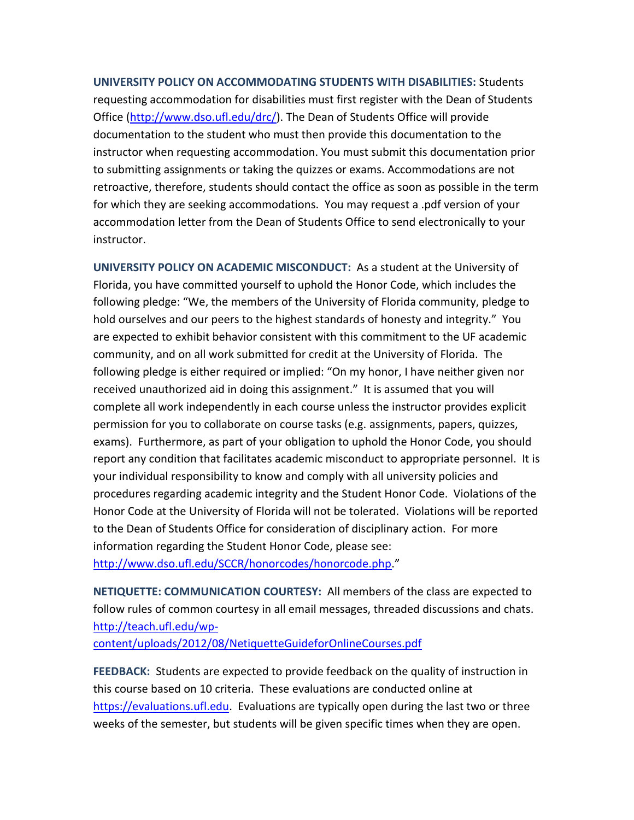**UNIVERSITY POLICY ON ACCOMMODATING STUDENTS WITH DISABILITIES:** Students requesting accommodation for disabilities must first register with the Dean of Students Office [\(http://www.dso.ufl.edu/drc/\)](http://www.dso.ufl.edu/drc/). The Dean of Students Office will provide documentation to the student who must then provide this documentation to the instructor when requesting accommodation. You must submit this documentation prior to submitting assignments or taking the quizzes or exams. Accommodations are not retroactive, therefore, students should contact the office as soon as possible in the term for which they are seeking accommodations. You may request a .pdf version of your accommodation letter from the Dean of Students Office to send electronically to your instructor.

**UNIVERSITY POLICY ON ACADEMIC MISCONDUCT:** As a student at the University of Florida, you have committed yourself to uphold the Honor Code, which includes the following pledge: "We, the members of the University of Florida community, pledge to hold ourselves and our peers to the highest standards of honesty and integrity." You are expected to exhibit behavior consistent with this commitment to the UF academic community, and on all work submitted for credit at the University of Florida. The following pledge is either required or implied: "On my honor, I have neither given nor received unauthorized aid in doing this assignment." It is assumed that you will complete all work independently in each course unless the instructor provides explicit permission for you to collaborate on course tasks (e.g. assignments, papers, quizzes, exams). Furthermore, as part of your obligation to uphold the Honor Code, you should report any condition that facilitates academic misconduct to appropriate personnel. It is your individual responsibility to know and comply with all university policies and procedures regarding academic integrity and the Student Honor Code. Violations of the Honor Code at the University of Florida will not be tolerated. Violations will be reported to the Dean of Students Office for consideration of disciplinary action. For more information regarding the Student Honor Code, please see: <http://www.dso.ufl.edu/SCCR/honorcodes/honorcode.php>."

**NETIQUETTE: COMMUNICATION COURTESY:** All members of the class are expected to follow rules of common courtesy in all email messages, threaded discussions and chats. [http://teach.ufl.edu/wp-](http://teach.ufl.edu/wp-content/uploads/2012/08/NetiquetteGuideforOnlineCourses.pdf)

[content/uploads/2012/08/NetiquetteGuideforOnlineCourses.pdf](http://teach.ufl.edu/wp-content/uploads/2012/08/NetiquetteGuideforOnlineCourses.pdf) 

**FEEDBACK:** Students are expected to provide feedback on the quality of instruction in this course based on 10 criteria. These evaluations are conducted online at [https://evaluations.ufl.edu.](https://evaluations.ufl.edu/) Evaluations are typically open during the last two or three weeks of the semester, but students will be given specific times when they are open.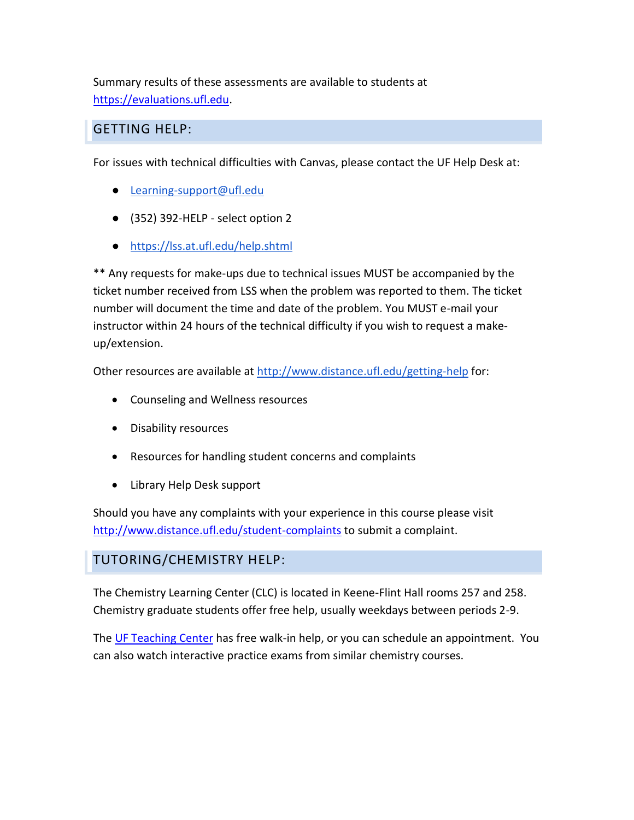Summary results of these assessments are available to students at [https://evaluations.ufl.edu.](https://evaluations.ufl.edu/)

### GETTING HELP:

For issues with technical difficulties with Canvas, please contact the UF Help Desk at:

- [Learning-support@ufl.edu](mailto:Learning-support@ufl.edu)
- (352) 392-HELP select option 2
- <https://lss.at.ufl.edu/help.shtml>

\*\* Any requests for make-ups due to technical issues MUST be accompanied by the ticket number received from LSS when the problem was reported to them. The ticket number will document the time and date of the problem. You MUST e-mail your instructor within 24 hours of the technical difficulty if you wish to request a makeup/extension.

Other resources are available at<http://www.distance.ufl.edu/getting-help> for:

- Counseling and Wellness resources
- Disability resources
- Resources for handling student concerns and complaints
- Library Help Desk support

Should you have any complaints with your experience in this course please visit <http://www.distance.ufl.edu/student-complaints> to submit a complaint.

## TUTORING/CHEMISTRY HELP:

The Chemistry Learning Center (CLC) is located in Keene-Flint Hall rooms 257 and 258. Chemistry graduate students offer free help, usually weekdays between periods 2-9.

The [UF Teaching Center](http://www.teachingcenter.ufl.edu/index.html) has free walk-in help, or you can schedule an appointment. You can also watch interactive practice exams from similar chemistry courses.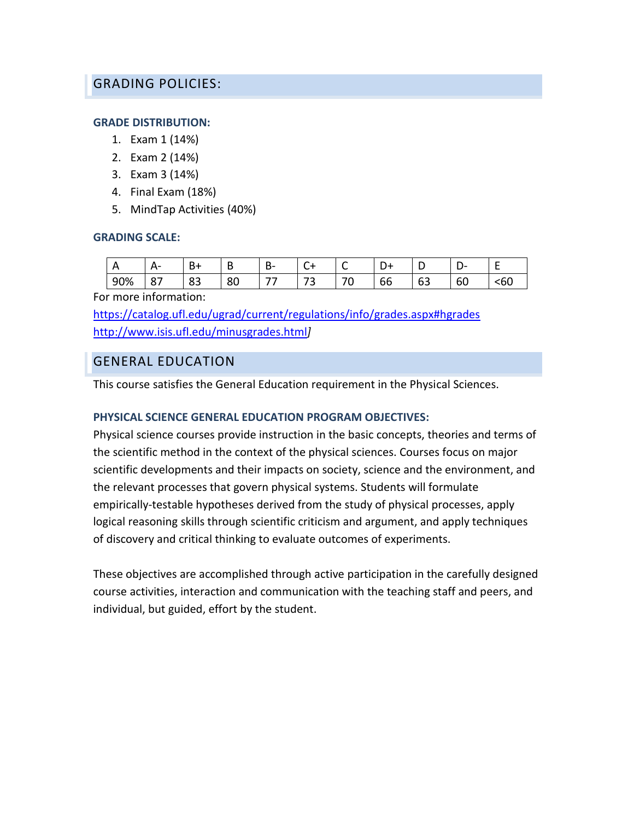### GRADING POLICIES:

### **GRADE DISTRIBUTION:**

- 1. Exam 1 (14%)
- 2. Exam 2 (14%)
- 3. Exam 3 (14%)
- 4. Final Exam (18%)
- 5. MindTap Activities (40%)

#### **GRADING SCALE:**

| ∼<br>− | $\sim$            | ־כ       | -<br>. .<br>D | D. | ๛       | . . |    | -            |         | -             |
|--------|-------------------|----------|---------------|----|---------|-----|----|--------------|---------|---------------|
| 90%    | ີ<br>$\mathbf{o}$ | ດາ<br>၀၁ | or<br>οu      | -- | --<br>ے |     | bb | $\sim$<br>ხ≾ | -<br>bU | $\sim$<br>≺bu |

For more information:

<https://catalog.ufl.edu/ugrad/current/regulations/info/grades.aspx#hgrades> <http://www.isis.ufl.edu/minusgrades.html>*]*

### GENERAL EDUCATION

This course satisfies the General Education requirement in the Physical Sciences.

### **PHYSICAL SCIENCE GENERAL EDUCATION PROGRAM OBJECTIVES:**

Physical science courses provide instruction in the basic concepts, theories and terms of the scientific method in the context of the physical sciences. Courses focus on major scientific developments and their impacts on society, science and the environment, and the relevant processes that govern physical systems. Students will formulate empirically-testable hypotheses derived from the study of physical processes, apply logical reasoning skills through scientific criticism and argument, and apply techniques of discovery and critical thinking to evaluate outcomes of experiments.

These objectives are accomplished through active participation in the carefully designed course activities, interaction and communication with the teaching staff and peers, and individual, but guided, effort by the student.